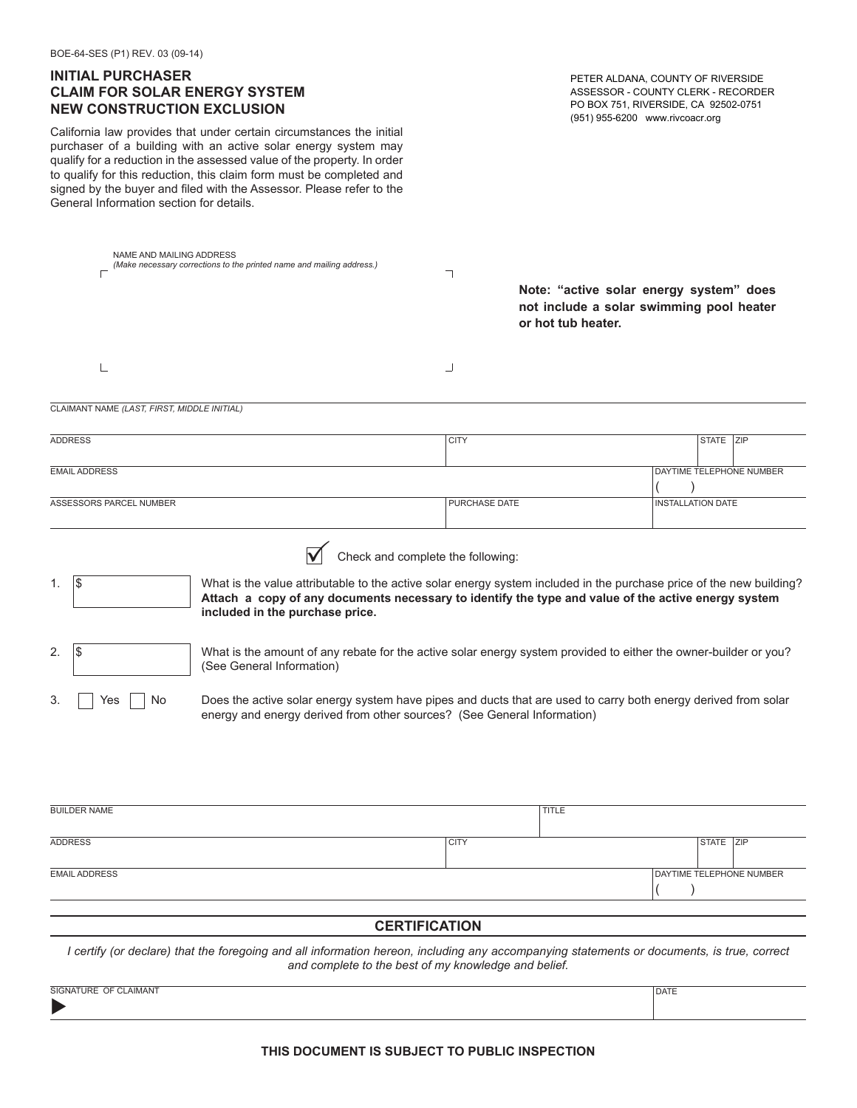## **INITIAL PURCHASER CLAIM FOR SOLAR ENERGY SYSTEM NEW CONSTRUCTION EXCLUSION**

California law provides that under certain circumstances the initial purchaser of a building with an active solar energy system may qualify for a reduction in the assessed value of the property. In order to qualify for this reduction, this claim form must be completed and signed by the buyer and filed with the Assessor. Please refer to the General Information section for details.

PETER ALDANA, COUNTY OF RIVERSIDE ASSESSOR - COUNTY CLERK - RECORDER PO BOX 751, RIVERSIDE, CA 92502-0751 (951) 955-6200 www.rivcoacr.org

DATE

| NAME AND MAILING ADDRESS<br>(Make necessary corrections to the printed name and mailing address.) |                                                                                                                                                                                                        |                                                                                                                                                                                                                                                                  | ┑<br>Note: "active solar energy system" does<br>not include a solar swimming pool heater<br>or hot tub heater. |  |                          |  |  |
|---------------------------------------------------------------------------------------------------|--------------------------------------------------------------------------------------------------------------------------------------------------------------------------------------------------------|------------------------------------------------------------------------------------------------------------------------------------------------------------------------------------------------------------------------------------------------------------------|----------------------------------------------------------------------------------------------------------------|--|--------------------------|--|--|
|                                                                                                   |                                                                                                                                                                                                        |                                                                                                                                                                                                                                                                  | ┘                                                                                                              |  |                          |  |  |
|                                                                                                   | CLAIMANT NAME (LAST, FIRST, MIDDLE INITIAL)                                                                                                                                                            |                                                                                                                                                                                                                                                                  |                                                                                                                |  |                          |  |  |
|                                                                                                   | <b>ADDRESS</b>                                                                                                                                                                                         |                                                                                                                                                                                                                                                                  | <b>CITY</b>                                                                                                    |  | STATE ZIP                |  |  |
|                                                                                                   | <b>EMAIL ADDRESS</b>                                                                                                                                                                                   |                                                                                                                                                                                                                                                                  |                                                                                                                |  | DAYTIME TELEPHONE NUMBER |  |  |
| ASSESSORS PARCEL NUMBER                                                                           |                                                                                                                                                                                                        |                                                                                                                                                                                                                                                                  | PURCHASE DATE                                                                                                  |  | <b>INSTALLATION DATE</b> |  |  |
| 1.                                                                                                | 1\$                                                                                                                                                                                                    | Check and complete the following:<br>What is the value attributable to the active solar energy system included in the purchase price of the new building?<br>Attach a copy of any documents necessary to identify the type and value of the active energy system |                                                                                                                |  |                          |  |  |
|                                                                                                   |                                                                                                                                                                                                        | included in the purchase price.                                                                                                                                                                                                                                  |                                                                                                                |  |                          |  |  |
| 2.                                                                                                | 1\$                                                                                                                                                                                                    | What is the amount of any rebate for the active solar energy system provided to either the owner-builder or you?<br>(See General Information)                                                                                                                    |                                                                                                                |  |                          |  |  |
| 3.                                                                                                | Does the active solar energy system have pipes and ducts that are used to carry both energy derived from solar<br>No<br>Yes<br>energy and energy derived from other sources? (See General Information) |                                                                                                                                                                                                                                                                  |                                                                                                                |  |                          |  |  |
|                                                                                                   |                                                                                                                                                                                                        |                                                                                                                                                                                                                                                                  |                                                                                                                |  |                          |  |  |
|                                                                                                   |                                                                                                                                                                                                        |                                                                                                                                                                                                                                                                  |                                                                                                                |  |                          |  |  |

| <b>BUILDER NAME</b>  | <b>TITLE</b> |  |  |                          |  |  |
|----------------------|--------------|--|--|--------------------------|--|--|
|                      |              |  |  |                          |  |  |
| ADDRESS              | <b>CITY</b>  |  |  | STATE ZIP                |  |  |
|                      |              |  |  |                          |  |  |
| <b>EMAIL ADDRESS</b> |              |  |  | DAYTIME TELEPHONE NUMBER |  |  |
|                      |              |  |  |                          |  |  |
|                      |              |  |  |                          |  |  |

## **CERTIFICATION**

*I certify (or declare) that the foregoing and all information hereon, including any accompanying statements or documents, is true, correct and complete to the best of my knowledge and belief.*

SIGNATURE OF CLAIMANT

 $\blacktriangleright$ 

**THIS DOCUMENT IS SUBJECT TO PUBLIC INSPECTION**